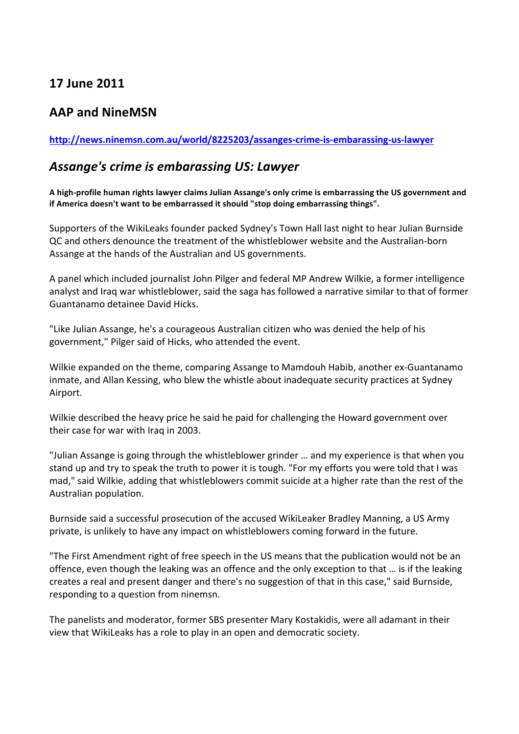## **17#June#2011**

## **AAP and NineMSN**

## http://news.ninemsn.com.au/world/8225203/assanges-crime-is-embarassing-us-lawyer

## Assange's crime is embarassing US: Lawyer

A high-profile human rights lawyer claims Julian Assange's only crime is embarrassing the US government and if America doesn't want to be embarrassed it should "stop doing embarrassing things".

Supporters of the WikiLeaks founder packed Sydney's Town Hall last night to hear Julian Burnside QC and others denounce the treatment of the whistleblower website and the Australian-born Assange at the hands of the Australian and US governments.

A panel which included journalist John Pilger and federal MP Andrew Wilkie, a former intelligence analyst and Iraq war whistleblower, said the saga has followed a narrative similar to that of former Guantanamo detainee David Hicks.

"Like Julian Assange, he's a courageous Australian citizen who was denied the help of his government," Pilger said of Hicks, who attended the event.

Wilkie expanded on the theme, comparing Assange to Mamdouh Habib, another ex-Guantanamo inmate, and Allan Kessing, who blew the whistle about inadequate security practices at Sydney Airport.

Wilkie described the heavy price he said he paid for challenging the Howard government over their case for war with Iraq in 2003.

"Julian Assange is going through the whistleblower grinder ... and my experience is that when you stand up and try to speak the truth to power it is tough. "For my efforts you were told that I was mad," said Wilkie, adding that whistleblowers commit suicide at a higher rate than the rest of the Australian population.

Burnside said a successful prosecution of the accused WikiLeaker Bradley Manning, a US Army private, is unlikely to have any impact on whistleblowers coming forward in the future.

"The First Amendment right of free speech in the US means that the publication would not be an offence, even though the leaking was an offence and the only exception to that ... is if the leaking creates a real and present danger and there's no suggestion of that in this case," said Burnside, responding to a question from ninemsn.

The panelists and moderator, former SBS presenter Mary Kostakidis, were all adamant in their view that WikiLeaks has a role to play in an open and democratic society.